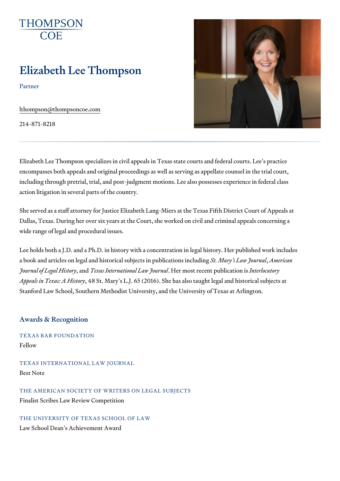# Elizabeth Lee Thompson

Partner

[lthompson@thomps](mailto:lthompson@thompsoncoe.com)oncoe.com

214-871-8218

Elizabeth Lee Thompson specializes in civil appeals in Texas state courts encompasses both appeals and original proceedings as well as serving as including through pretrial, trial, and post-judgment motions. Lee also poss action litigation in several parts of the country.

She served as a staff attorney for Justice Elizabeth Lang-Miers at the Tex Dallas, Texas. During her over six years at the Court, she worked on civil wide range of legal and procedural issues.

Lee holds both a J.D. and a Ph.D. in history with a concentration in legal a book and articles on legal and historical suSbtjeMoltesryins pluebyMoin**daetriconees** includi Journal of Legaal nTebeixs at correnational Helaw molosult mas bent plunkt beinclasted on horsy Appeals in Texas48A SHisMary s L.J. 65 (2016). She has also taught legal and Stanford Law School, Southern Methodist University, and the University of

### Awards & Recognition

TEXAS BAR FOUNDATION Fellow

TEXAS INTERNATIONAL LAW JOURNAL Best Note

THE AMERICAN SOCIETY OF WRITERS ON LEGAL SUBJECTS Finalist Scribes Law Review Competition

THE UNIVERSITY OF TEXAS SCHOOL OF LAW Law School Dean s Achievement Award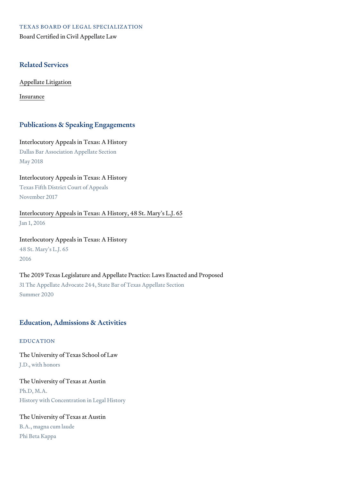TEXAS BOARD OF LEGAL SPECIALIZATION Board Certified in Civil Appellate Law

### Related Services

[Appellate Li](https://www.thompsoncoe.com/people/elizabeth-lee-thompson/)tigation

[Insura](https://www.thompsoncoe.com/people/elizabeth-lee-thompson/)nce

#### Publications & Speaking Engagements

Interlocutory Appeals in Texas: A History Dallas Bar Association Appellate Section May 2018

Interlocutory Appeals in Texas: A History Texas Fifth District Court of Appeals November 2017

[Interlocutory Appeals in Texas: A Hist](https://www.thompsoncoe.com/resources/publications/interlocutory-appeals-in-texas-a-history-48-st-marys-l-j-65/)ory, 48 St. Mary s L.J. 65 Jan 1, 2016

Interlocutory Appeals in Texas: A History 48 St. Mary s L.J. 65 2016

The 2019 Texas Legislature and Appellate Practice: Laws Enacted and Pro 31 The Appellate Advocate 244, State Bar of Texas Appellate Section Summer 2020

#### Education, Admissions & Activities

EDUCATION

The University of Texas School of Law J.D., with honors

The University of Texas at Austin Ph.D, M.A. History with Concentration in Legal History

The University of Texas at Austin B.A., magna cum laude Phi Beta Kappa